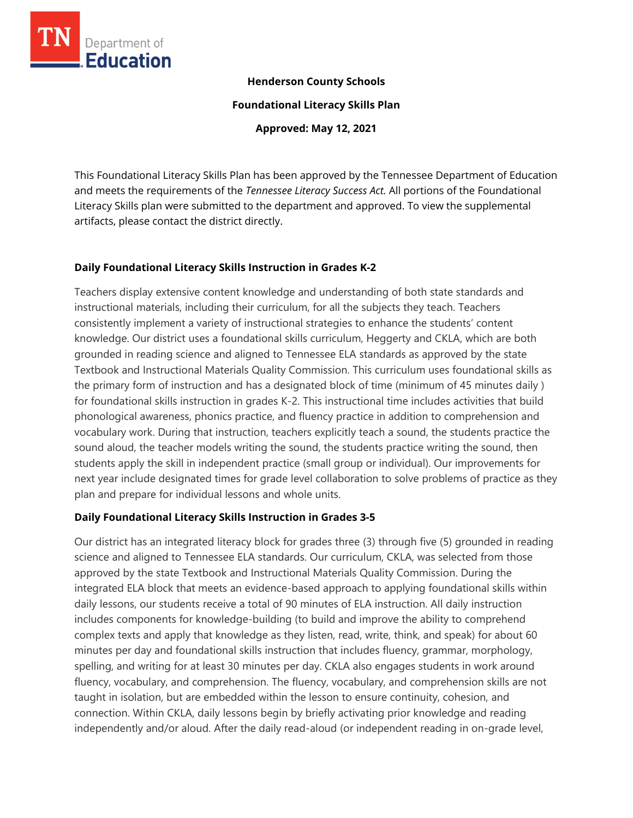

#### **Henderson County Schools**

**Foundational Literacy Skills Plan**

**Approved: May 12, 2021**

This Foundational Literacy Skills Plan has been approved by the Tennessee Department of Education and meets the requirements of the *Tennessee Literacy Success Act.* All portions of the Foundational Literacy Skills plan were submitted to the department and approved. To view the supplemental artifacts, please contact the district directly.

### **Daily Foundational Literacy Skills Instruction in Grades K-2**

Teachers display extensive content knowledge and understanding of both state standards and instructional materials, including their curriculum, for all the subjects they teach. Teachers consistently implement a variety of instructional strategies to enhance the students' content knowledge. Our district uses a foundational skills curriculum, Heggerty and CKLA, which are both grounded in reading science and aligned to Tennessee ELA standards as approved by the state Textbook and Instructional Materials Quality Commission. This curriculum uses foundational skills as the primary form of instruction and has a designated block of time (minimum of 45 minutes daily ) for foundational skills instruction in grades K-2. This instructional time includes activities that build phonological awareness, phonics practice, and fluency practice in addition to comprehension and vocabulary work. During that instruction, teachers explicitly teach a sound, the students practice the sound aloud, the teacher models writing the sound, the students practice writing the sound, then students apply the skill in independent practice (small group or individual). Our improvements for next year include designated times for grade level collaboration to solve problems of practice as they plan and prepare for individual lessons and whole units.

# **Daily Foundational Literacy Skills Instruction in Grades 3-5**

Our district has an integrated literacy block for grades three (3) through five (5) grounded in reading science and aligned to Tennessee ELA standards. Our curriculum, CKLA, was selected from those approved by the state Textbook and Instructional Materials Quality Commission. During the integrated ELA block that meets an evidence-based approach to applying foundational skills within daily lessons, our students receive a total of 90 minutes of ELA instruction. All daily instruction includes components for knowledge-building (to build and improve the ability to comprehend complex texts and apply that knowledge as they listen, read, write, think, and speak) for about 60 minutes per day and foundational skills instruction that includes fluency, grammar, morphology, spelling, and writing for at least 30 minutes per day. CKLA also engages students in work around fluency, vocabulary, and comprehension. The fluency, vocabulary, and comprehension skills are not taught in isolation, but are embedded within the lesson to ensure continuity, cohesion, and connection. Within CKLA, daily lessons begin by briefly activating prior knowledge and reading independently and/or aloud. After the daily read-aloud (or independent reading in on-grade level,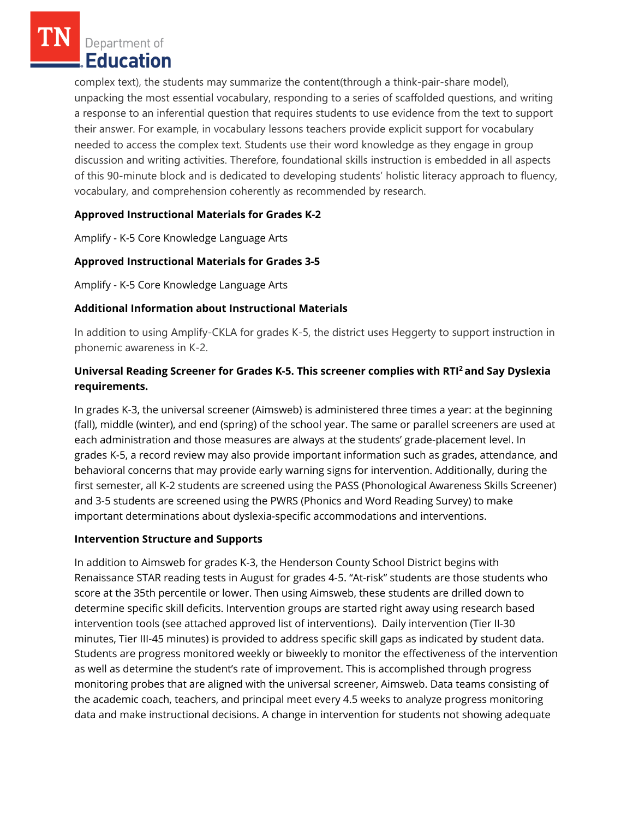Department of **Education** 

complex text), the students may summarize the content(through a think-pair-share model), unpacking the most essential vocabulary, responding to a series of scaffolded questions, and writing a response to an inferential question that requires students to use evidence from the text to support their answer. For example, in vocabulary lessons teachers provide explicit support for vocabulary needed to access the complex text. Students use their word knowledge as they engage in group discussion and writing activities. Therefore, foundational skills instruction is embedded in all aspects of this 90-minute block and is dedicated to developing students' holistic literacy approach to fluency, vocabulary, and comprehension coherently as recommended by research.

### **Approved Instructional Materials for Grades K-2**

Amplify - K-5 Core Knowledge Language Arts

# **Approved Instructional Materials for Grades 3-5**

Amplify - K-5 Core Knowledge Language Arts

### **Additional Information about Instructional Materials**

In addition to using Amplify-CKLA for grades K-5, the district uses Heggerty to support instruction in phonemic awareness in K-2.

# **Universal Reading Screener for Grades K-5. This screener complies with RTI<sup>2</sup>and Say Dyslexia requirements.**

In grades K-3, the universal screener (Aimsweb) is administered three times a year: at the beginning (fall), middle (winter), and end (spring) of the school year. The same or parallel screeners are used at each administration and those measures are always at the students' grade-placement level. In grades K-5, a record review may also provide important information such as grades, attendance, and behavioral concerns that may provide early warning signs for intervention. Additionally, during the first semester, all K-2 students are screened using the PASS (Phonological Awareness Skills Screener) and 3-5 students are screened using the PWRS (Phonics and Word Reading Survey) to make important determinations about dyslexia-specific accommodations and interventions.

#### **Intervention Structure and Supports**

In addition to Aimsweb for grades K-3, the Henderson County School District begins with Renaissance STAR reading tests in August for grades 4-5. "At-risk" students are those students who score at the 35th percentile or lower. Then using Aimsweb, these students are drilled down to determine specific skill deficits. Intervention groups are started right away using research based intervention tools (see attached approved list of interventions). Daily intervention (Tier II-30 minutes, Tier III-45 minutes) is provided to address specific skill gaps as indicated by student data. Students are progress monitored weekly or biweekly to monitor the effectiveness of the intervention as well as determine the student's rate of improvement. This is accomplished through progress monitoring probes that are aligned with the universal screener, Aimsweb. Data teams consisting of the academic coach, teachers, and principal meet every 4.5 weeks to analyze progress monitoring data and make instructional decisions. A change in intervention for students not showing adequate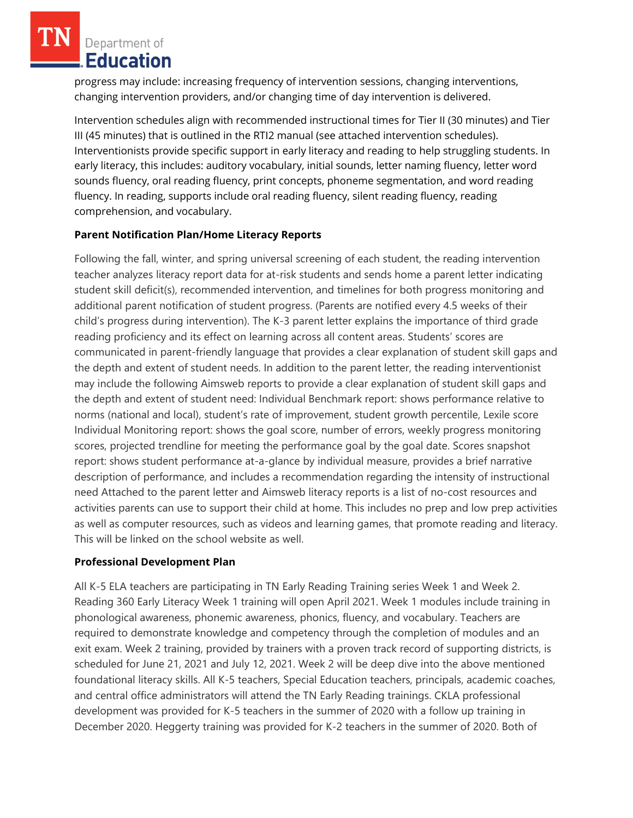Department of Education

progress may include: increasing frequency of intervention sessions, changing interventions, changing intervention providers, and/or changing time of day intervention is delivered.

Intervention schedules align with recommended instructional times for Tier II (30 minutes) and Tier III (45 minutes) that is outlined in the RTI2 manual (see attached intervention schedules). Interventionists provide specific support in early literacy and reading to help struggling students. In early literacy, this includes: auditory vocabulary, initial sounds, letter naming fluency, letter word sounds fluency, oral reading fluency, print concepts, phoneme segmentation, and word reading fluency. In reading, supports include oral reading fluency, silent reading fluency, reading comprehension, and vocabulary.

### **Parent Notification Plan/Home Literacy Reports**

Following the fall, winter, and spring universal screening of each student, the reading intervention teacher analyzes literacy report data for at-risk students and sends home a parent letter indicating student skill deficit(s), recommended intervention, and timelines for both progress monitoring and additional parent notification of student progress. (Parents are notified every 4.5 weeks of their child's progress during intervention). The K-3 parent letter explains the importance of third grade reading proficiency and its effect on learning across all content areas. Students' scores are communicated in parent-friendly language that provides a clear explanation of student skill gaps and the depth and extent of student needs. In addition to the parent letter, the reading interventionist may include the following Aimsweb reports to provide a clear explanation of student skill gaps and the depth and extent of student need: Individual Benchmark report: shows performance relative to norms (national and local), student's rate of improvement, student growth percentile, Lexile score Individual Monitoring report: shows the goal score, number of errors, weekly progress monitoring scores, projected trendline for meeting the performance goal by the goal date. Scores snapshot report: shows student performance at-a-glance by individual measure, provides a brief narrative description of performance, and includes a recommendation regarding the intensity of instructional need Attached to the parent letter and Aimsweb literacy reports is a list of no-cost resources and activities parents can use to support their child at home. This includes no prep and low prep activities as well as computer resources, such as videos and learning games, that promote reading and literacy. This will be linked on the school website as well.

# **Professional Development Plan**

All K-5 ELA teachers are participating in TN Early Reading Training series Week 1 and Week 2. Reading 360 Early Literacy Week 1 training will open April 2021. Week 1 modules include training in phonological awareness, phonemic awareness, phonics, fluency, and vocabulary. Teachers are required to demonstrate knowledge and competency through the completion of modules and an exit exam. Week 2 training, provided by trainers with a proven track record of supporting districts, is scheduled for June 21, 2021 and July 12, 2021. Week 2 will be deep dive into the above mentioned foundational literacy skills. All K‐5 teachers, Special Education teachers, principals, academic coaches, and central office administrators will attend the TN Early Reading trainings. CKLA professional development was provided for K‐5 teachers in the summer of 2020 with a follow up training in December 2020. Heggerty training was provided for K‐2 teachers in the summer of 2020. Both of